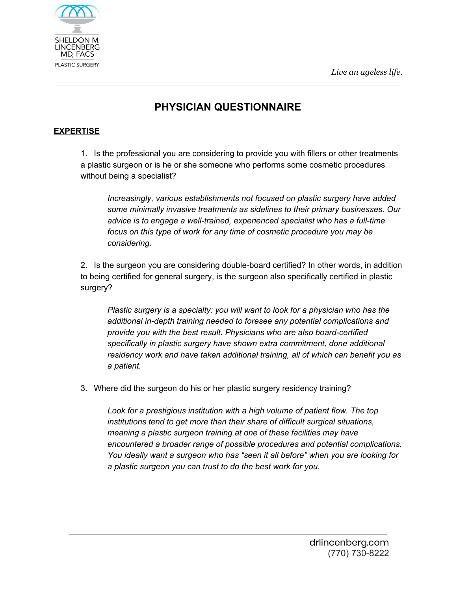*Live an ageless life.*



## **PHYSICIAN QUESTIONNAIRE**

## **EXPERTISE**

1. Is the professional you are considering to provide you with fillers or other treatments a plastic surgeon or is he or she someone who performs some cosmetic procedures without being a specialist?

*Increasingly, various establishments not focused on plastic surgery have added some minimally invasive treatments as sidelines to their primary businesses. Our advice is to engage a well-trained, experienced specialist who has a full-time focus on this type of work for any time of cosmetic procedure you may be considering.*

2. Is the surgeon you are considering double-board certified? In other words, in addition to being certified for general surgery, is the surgeon also specifically certified in plastic surgery?

*Plastic surgery is a specialty: you will want to look for a physician who has the additional in-depth training needed to foresee any potential complications and provide you with the best result. Physicians who are also board-certified specifically in plastic surgery have shown extra commitment, done additional residency work and have taken additional training, all of which can benefit you as a patient.*

3. Where did the surgeon do his or her plastic surgery residency training?

*Look for a prestigious institution with a high volume of patient flow. The top institutions tend to get more than their share of difficult surgical situations, meaning a plastic surgeon training at one of these facilities may have encountered a broader range of possible procedures and potential complications. You ideally want a surgeon who has "seen it all before" when you are looking for a plastic surgeon you can trust to do the best work for you.*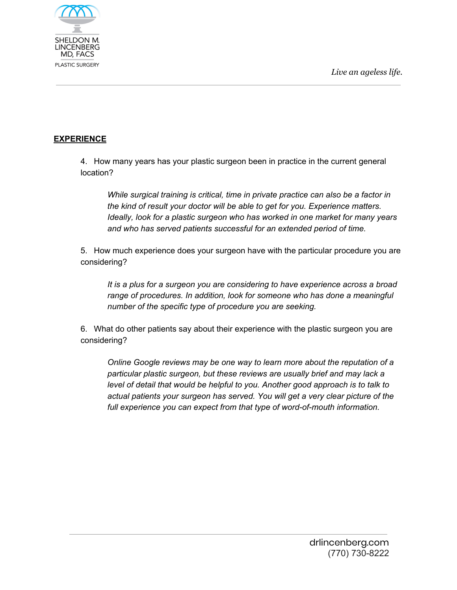*Live an ageless life.*



## **EXPERIENCE**

4. How many years has your plastic surgeon been in practice in the current general location?

*While surgical training is critical, time in private practice can also be a factor in the kind of result your doctor will be able to get for you. Experience matters. Ideally, look for a plastic surgeon who has worked in one market for many years and who has served patients successful for an extended period of time.*

5. How much experience does your surgeon have with the particular procedure you are considering?

*It is a plus for a surgeon you are considering to have experience across a broad range of procedures. In addition, look for someone who has done a meaningful number of the specific type of procedure you are seeking.*

6. What do other patients say about their experience with the plastic surgeon you are considering?

*Online Google reviews may be one way to learn more about the reputation of a particular plastic surgeon, but these reviews are usually brief and may lack a level of detail that would be helpful to you. Another good approach is to talk to actual patients your surgeon has served. You will get a very clear picture of the full experience you can expect from that type of word-of-mouth information.*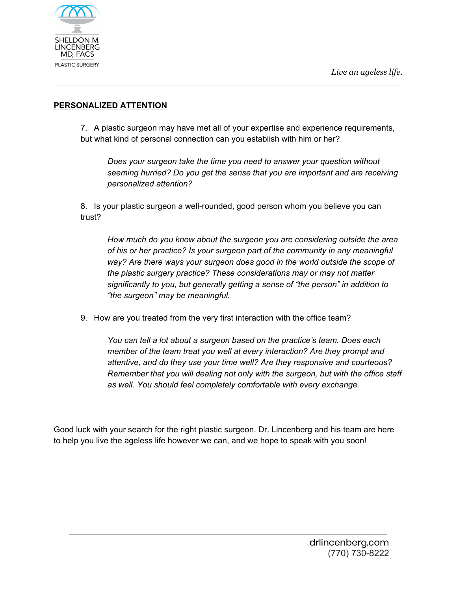

## **PERSONALIZED ATTENTION**

7. A plastic surgeon may have met all of your expertise and experience requirements, but what kind of personal connection can you establish with him or her?

*Does your surgeon take the time you need to answer your question without seeming hurried? Do you get the sense that you are important and are receiving personalized attention?*

8. Is your plastic surgeon a well-rounded, good person whom you believe you can trust?

*How much do you know about the surgeon you are considering outside the area of his or her practice? Is your surgeon part of the community in any meaningful way? Are there ways your surgeon does good in the world outside the scope of the plastic surgery practice? These considerations may or may not matter significantly to you, but generally getting a sense of "the person" in addition to "the surgeon" may be meaningful.*

9. How are you treated from the very first interaction with the office team?

*You can tell a lot about a surgeon based on the practice's team. Does each member of the team treat you well at every interaction? Are they prompt and attentive, and do they use your time well? Are they responsive and courteous? Remember that you will dealing not only with the surgeon, but with the office staff as well. You should feel completely comfortable with every exchange.*

Good luck with your search for the right plastic surgeon. Dr. Lincenberg and his team are here to help you live the ageless life however we can, and we hope to speak with you soon!